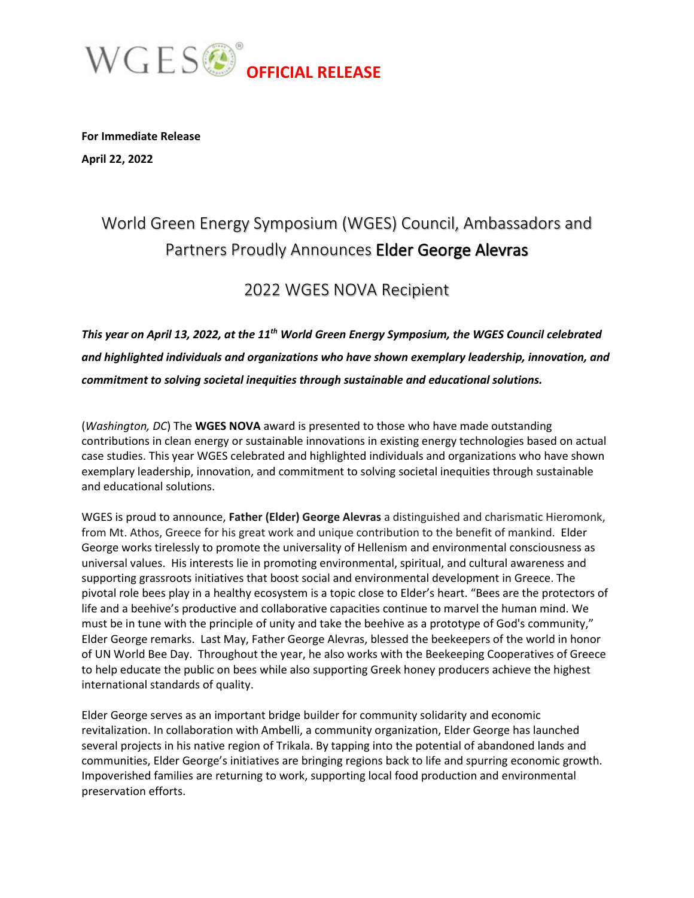

**For Immediate Release April 22, 2022**

## World Green Energy Symposium (WGES) Council, Ambassadors and Partners Proudly Announces Elder George Alevras

### 2022 WGES NOVA Recipient

*This year on April 13, 2022, at the 11th World Green Energy Symposium, the WGES Council celebrated and highlighted individuals and organizations who have shown exemplary leadership, innovation, and commitment to solving societal inequities through sustainable and educational solutions.*

(*Washington, DC*) The **WGES NOVA** award is presented to those who have made outstanding contributions in clean energy or sustainable innovations in existing energy technologies based on actual case studies. This year WGES celebrated and highlighted individuals and organizations who have shown exemplary leadership, innovation, and commitment to solving societal inequities through sustainable and educational solutions.

WGES is proud to announce, **Father (Elder) George Alevras** a distinguished and charismatic Hieromonk, from Mt. Athos, Greece for his great work and unique contribution to the benefit of mankind. Elder George works tirelessly to promote the universality of Hellenism and environmental consciousness as universal values. His interests lie in promoting environmental, spiritual, and cultural awareness and supporting grassroots initiatives that boost social and environmental development in Greece. The pivotal role bees play in a healthy ecosystem is a topic close to Elder's heart. "Bees are the protectors of life and a beehive's productive and collaborative capacities continue to marvel the human mind. We must be in tune with the principle of unity and take the beehive as a prototype of God's community," Elder George remarks. Last May, Father George Alevras, blessed the beekeepers of the world in honor of UN World Bee Day. Throughout the year, he also works with the Beekeeping Cooperatives of Greece to help educate the public on bees while also supporting Greek honey producers achieve the highest international standards of quality.

Elder George serves as an important bridge builder for community solidarity and economic revitalization. In collaboration with Ambelli, a community organization, Elder George has launched several projects in his native region of Trikala. By tapping into the potential of abandoned lands and communities, Elder George's initiatives are bringing regions back to life and spurring economic growth. Impoverished families are returning to work, supporting local food production and environmental preservation efforts.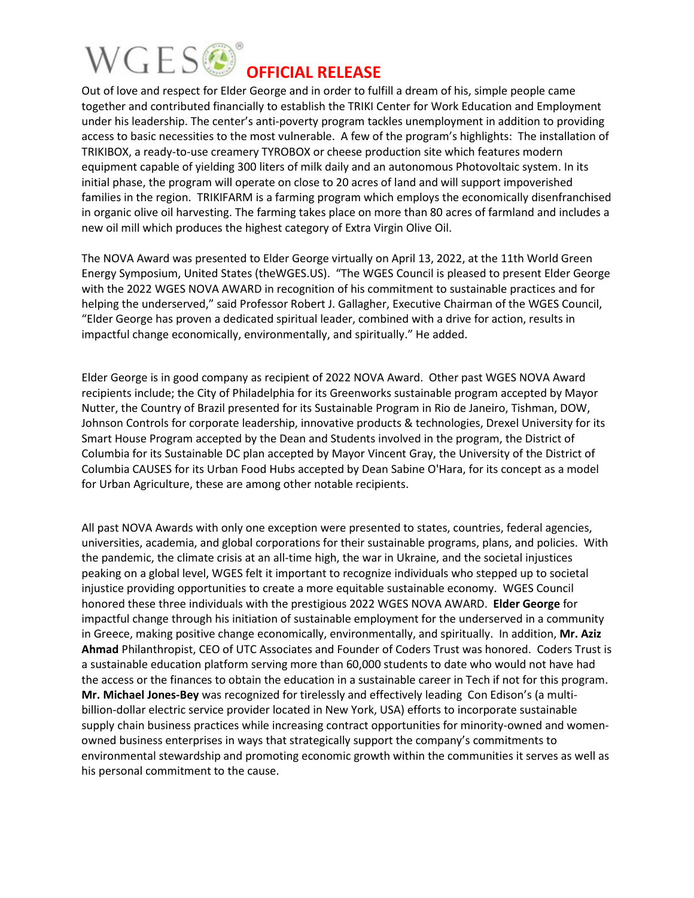## WGESO **OFFICIAL RELEASE**

Out of love and respect for Elder George and in order to fulfill a dream of his, simple people came together and contributed financially to establish the TRIKI Center for Work Education and Employment under his leadership. The center's anti-poverty program tackles unemployment in addition to providing access to basic necessities to the most vulnerable. A few of the program's highlights: The installation of TRIKIBOX, a ready-to-use creamery TYROBOX or cheese production site which features modern equipment capable of yielding 300 liters of milk daily and an autonomous Photovoltaic system. In its initial phase, the program will operate on close to 20 acres of land and will support impoverished families in the region. TRIKIFARM is a farming program which employs the economically disenfranchised in organic olive oil harvesting. The farming takes place on more than 80 acres of farmland and includes a new oil mill which produces the highest category of Extra Virgin Olive Oil.

The NOVA Award was presented to Elder George virtually on April 13, 2022, at the 11th World Green Energy Symposium, United States (theWGES.US). "The WGES Council is pleased to present Elder George with the 2022 WGES NOVA AWARD in recognition of his commitment to sustainable practices and for helping the underserved," said Professor Robert J. Gallagher, Executive Chairman of the WGES Council, "Elder George has proven a dedicated spiritual leader, combined with a drive for action, results in impactful change economically, environmentally, and spiritually." He added.

Elder George is in good company as recipient of 2022 NOVA Award. Other past WGES NOVA Award recipients include; the City of Philadelphia for its Greenworks sustainable program accepted by Mayor Nutter, the Country of Brazil presented for its Sustainable Program in Rio de Janeiro, Tishman, DOW, Johnson Controls for corporate leadership, innovative products & technologies, Drexel University for its Smart House Program accepted by the Dean and Students involved in the program, the District of Columbia for its Sustainable DC plan accepted by Mayor Vincent Gray, the University of the District of Columbia CAUSES for its Urban Food Hubs accepted by Dean Sabine O'Hara, for its concept as a model for Urban Agriculture, these are among other notable recipients.

All past NOVA Awards with only one exception were presented to states, countries, federal agencies, universities, academia, and global corporations for their sustainable programs, plans, and policies. With the pandemic, the climate crisis at an all-time high, the war in Ukraine, and the societal injustices peaking on a global level, WGES felt it important to recognize individuals who stepped up to societal injustice providing opportunities to create a more equitable sustainable economy. WGES Council honored these three individuals with the prestigious 2022 WGES NOVA AWARD. **Elder George** for impactful change through his initiation of sustainable employment for the underserved in a community in Greece, making positive change economically, environmentally, and spiritually. In addition, **Mr. Aziz Ahmad** Philanthropist, CEO of UTC Associates and Founder of Coders Trust was honored. Coders Trust is a sustainable education platform serving more than 60,000 students to date who would not have had the access or the finances to obtain the education in a sustainable career in Tech if not for this program. **Mr. Michael Jones-Bey** was recognized for tirelessly and effectively leading Con Edison's (a multibillion-dollar electric service provider located in New York, USA) efforts to incorporate sustainable supply chain business practices while increasing contract opportunities for minority-owned and womenowned business enterprises in ways that strategically support the company's commitments to environmental stewardship and promoting economic growth within the communities it serves as well as his personal commitment to the cause.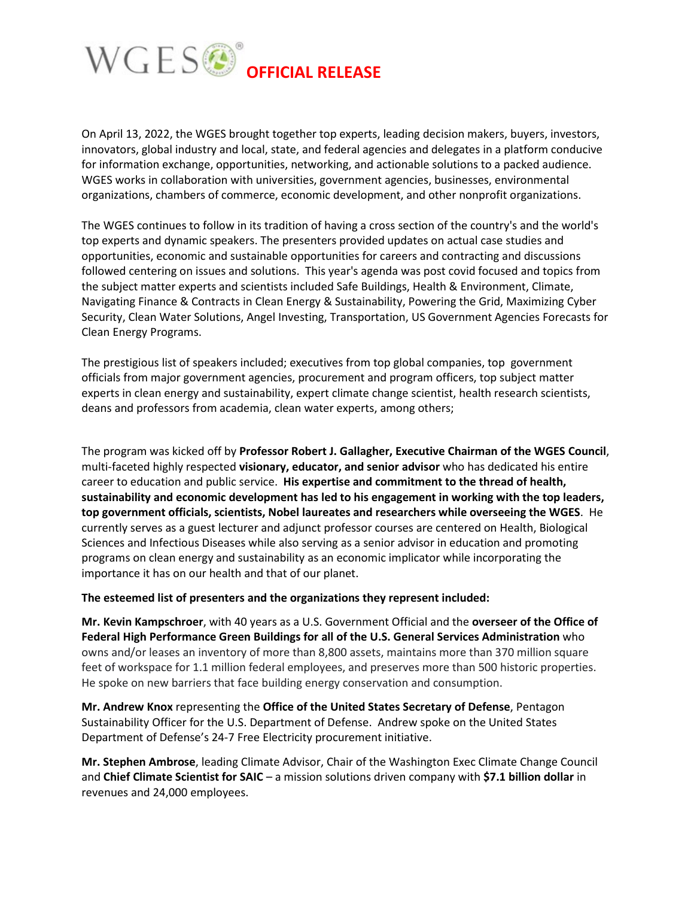

On April 13, 2022, the WGES brought together top experts, leading decision makers, buyers, investors, innovators, global industry and local, state, and federal agencies and delegates in a platform conducive for information exchange, opportunities, networking, and actionable solutions to a packed audience. WGES works in collaboration with universities, government agencies, businesses, environmental organizations, chambers of commerce, economic development, and other nonprofit organizations.

The WGES continues to follow in its tradition of having a cross section of the country's and the world's top experts and dynamic speakers. The presenters provided updates on actual case studies and opportunities, economic and sustainable opportunities for careers and contracting and discussions followed centering on issues and solutions. This year's agenda was post covid focused and topics from the subject matter experts and scientists included Safe Buildings, Health & Environment, Climate, Navigating Finance & Contracts in Clean Energy & Sustainability, Powering the Grid, Maximizing Cyber Security, Clean Water Solutions, Angel Investing, Transportation, US Government Agencies Forecasts for Clean Energy Programs.

The prestigious list of speakers included; executives from top global companies, top government officials from major government agencies, procurement and program officers, top subject matter experts in clean energy and sustainability, expert climate change scientist, health research scientists, deans and professors from academia, clean water experts, among others;

The program was kicked off by **Professor Robert J. Gallagher, Executive Chairman of the WGES Council**, multi-faceted highly respected **visionary, educator, and senior advisor** who has dedicated his entire career to education and public service. **His expertise and commitment to the thread of health, sustainability and economic development has led to his engagement in working with the top leaders, top government officials, scientists, Nobel laureates and researchers while overseeing the WGES**. He currently serves as a guest lecturer and adjunct professor courses are centered on Health, Biological Sciences and Infectious Diseases while also serving as a senior advisor in education and promoting programs on clean energy and sustainability as an economic implicator while incorporating the importance it has on our health and that of our planet.

**The esteemed list of presenters and the organizations they represent included:**

**Mr. Kevin Kampschroer**, with 40 years as a U.S. Government Official and the **overseer of the Office of Federal High Performance Green Buildings for all of the U.S. General Services Administration** who owns and/or leases an inventory of more than 8,800 assets, maintains more than 370 million square feet of workspace for 1.1 million federal employees, and preserves more than 500 historic properties. He spoke on new barriers that face building energy conservation and consumption.

**Mr. Andrew Knox** representing the **Office of the United States Secretary of Defense**, Pentagon Sustainability Officer for the U.S. Department of Defense. Andrew spoke on the United States Department of Defense's 24-7 Free Electricity procurement initiative.

**Mr. Stephen Ambrose**, leading Climate Advisor, Chair of the Washington Exec Climate Change Council and **Chief Climate Scientist for SAIC** – a mission solutions driven company with **\$7.1 billion dollar** in revenues and 24,000 employees.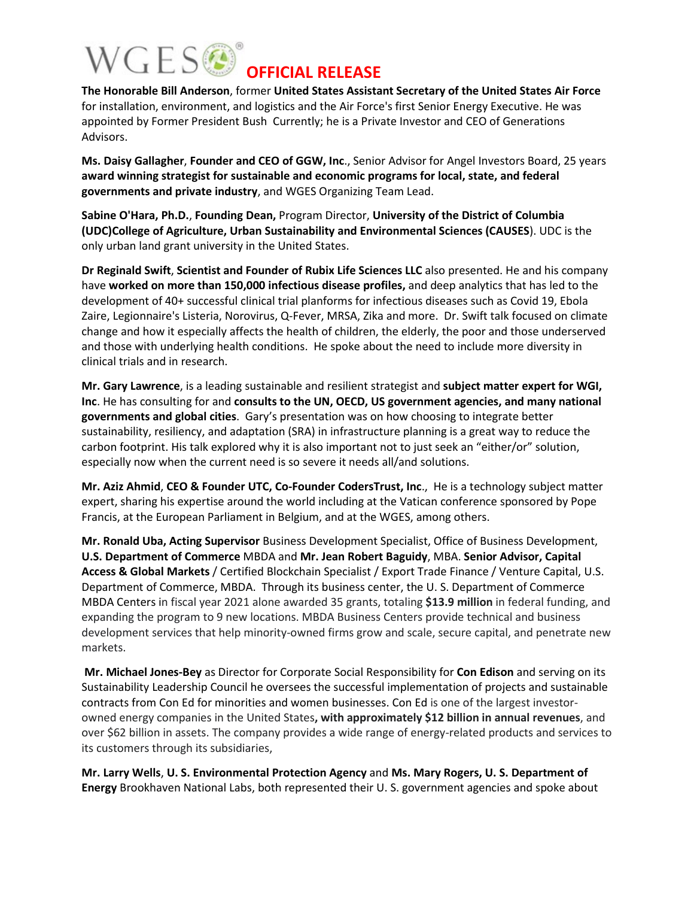# WGESO

#### **OFFICIAL RELEASE**

**The Honorable Bill Anderson**, former **United States Assistant Secretary of the United States Air Force** for installation, environment, and logistics and the Air Force's first Senior Energy Executive. He was appointed by Former President Bush Currently; he is a Private Investor and CEO of Generations Advisors.

**Ms. Daisy Gallagher**, **Founder and CEO of GGW, Inc**., Senior Advisor for Angel Investors Board, 25 years **award winning strategist for sustainable and economic programs for local, state, and federal governments and private industry**, and WGES Organizing Team Lead.

**Sabine O'Hara, Ph.D.**, **Founding Dean,** Program Director, **University of the District of Columbia (UDC)College of Agriculture, Urban Sustainability and Environmental Sciences (CAUSES**). UDC is the only urban land grant university in the United States.

**Dr Reginald Swift**, **Scientist and Founder of Rubix Life Sciences LLC** also presented. He and his company have **worked on more than 150,000 infectious disease profiles,** and deep analytics that has led to the development of 40+ successful clinical trial planforms for infectious diseases such as Covid 19, Ebola Zaire, Legionnaire's Listeria, Norovirus, Q-Fever, MRSA, Zika and more. Dr. Swift talk focused on climate change and how it especially affects the health of children, the elderly, the poor and those underserved and those with underlying health conditions. He spoke about the need to include more diversity in clinical trials and in research.

**Mr. Gary Lawrence**, is a leading sustainable and resilient strategist and **subject matter expert for WGI, Inc**. He has consulting for and **consults to the UN, OECD, US government agencies, and many national governments and global cities**. Gary's presentation was on how choosing to integrate better sustainability, resiliency, and adaptation (SRA) in infrastructure planning is a great way to reduce the carbon footprint. His talk explored why it is also important not to just seek an "either/or" solution, especially now when the current need is so severe it needs all/and solutions.

**Mr. Aziz Ahmid**, **CEO & Founder UTC, Co-Founder CodersTrust, Inc**., He is a technology subject matter expert, sharing his expertise around the world including at the Vatican conference sponsored by Pope Francis, at the European Parliament in Belgium, and at the WGES, among others.

**Mr. Ronald Uba, Acting Supervisor** Business Development Specialist, Office of Business Development, **U.S. Department of Commerce** MBDA and **Mr. Jean Robert Baguidy**, MBA. **Senior Advisor, Capital Access & Global Markets** / Certified Blockchain Specialist / Export Trade Finance / Venture Capital, U.S. Department of Commerce, MBDA. Through its business center, the U. S. Department of Commerce MBDA Centers in fiscal year 2021 alone awarded 35 grants, totaling **\$13.9 million** in federal funding, and expanding the program to 9 new locations. MBDA Business Centers provide technical and business development services that help minority-owned firms grow and scale, secure capital, and penetrate new markets.

**Mr. Michael Jones-Bey** as Director for Corporate Social Responsibility for **Con Edison** and serving on its Sustainability Leadership Council he oversees the successful implementation of projects and sustainable contracts from Con Ed for minorities and women businesses. Con Ed is one of the largest investorowned energy companies in the United States**, with approximately \$12 billion in annual revenues**, and over \$62 billion in assets. The company provides a wide range of energy-related products and services to its customers through its subsidiaries,

**Mr. Larry Wells**, **U. S. Environmental Protection Agency** and **Ms. Mary Rogers, U. S. Department of Energy** Brookhaven National Labs, both represented their U. S. government agencies and spoke about